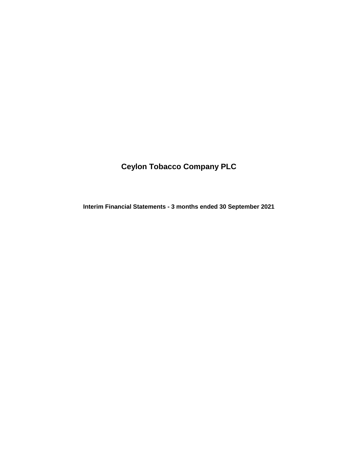# **Ceylon Tobacco Company PLC**

**Interim Financial Statements - 3 months ended 30 September 2021**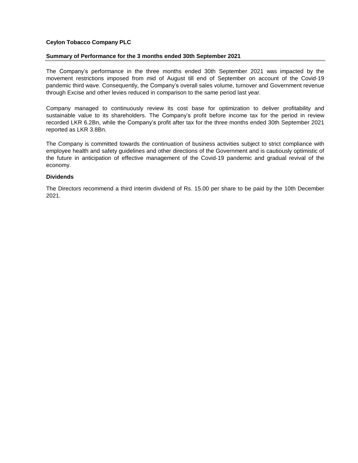# **Ceylon Tobacco Company PLC**

### **Summary of Performance for the 3 months ended 30th September 2021**

The Company's performance in the three months ended 30th September 2021 was impacted by the movement restrictions imposed from mid of August till end of September on account of the Covid-19 pandemic third wave. Consequently, the Company's overall sales volume, turnover and Government revenue through Excise and other levies reduced in comparison to the same period last year.

Company managed to continuously review its cost base for optimization to deliver profitability and sustainable value to its shareholders. The Company's profit before income tax for the period in review recorded LKR 6.2Bn, while the Company's profit after tax for the three months ended 30th September 2021 reported as LKR 3.8Bn.

The Company is committed towards the continuation of business activities subject to strict compliance with employee health and safety guidelines and other directions of the Government and is cautiously optimistic of the future in anticipation of effective management of the Covid-19 pandemic and gradual revival of the economy.

# **Dividends**

The Directors recommend a third interim dividend of Rs. 15.00 per share to be paid by the 10th December 2021.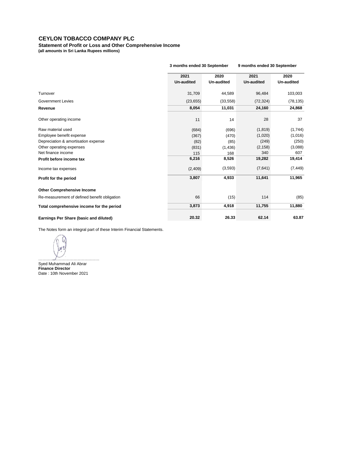**Statement of Profit or Loss and Other Comprehensive Income (all amounts in Sri Lanka Rupees millions)**

|                                              | 3 months ended 30 September |                    | 9 months ended 30 September |                    |
|----------------------------------------------|-----------------------------|--------------------|-----------------------------|--------------------|
|                                              | 2021<br><b>Un-audited</b>   | 2020<br>Un-audited | 2021<br><b>Un-audited</b>   | 2020<br>Un-audited |
| Turnover                                     | 31,709                      | 44,589             | 96,484                      | 103,003            |
| <b>Government Levies</b>                     | (23, 655)                   | (33, 558)          | (72, 324)                   | (78, 135)          |
| Revenue                                      | 8,054                       | 11,031             | 24,160                      | 24,868             |
| Other operating income                       | 11                          | 14                 | 28                          | 37                 |
| Raw material used                            | (684)                       | (696)              | (1, 819)                    | (1,744)            |
| Employee benefit expense                     | (367)                       | (470)              | (1,020)                     | (1,016)            |
| Depreciation & amortisation expense          | (82)                        | (85)               | (249)                       | (250)              |
| Other operating expenses                     | (831)                       | (1,436)            | (2, 158)                    | (3,088)            |
| Net finance income                           | 115                         | 168                | 340                         | 607                |
| Profit before income tax                     | 6,216                       | 8,526              | 19,282                      | 19,414             |
| Income tax expenses                          | (2,409)                     | (3,593)            | (7,641)                     | (7, 449)           |
| Profit for the period                        | 3,807                       | 4,933              | 11,641                      | 11,965             |
| <b>Other Comprehensive Income</b>            |                             |                    |                             |                    |
| Re-measurement of defined benefit obligation | 66                          | (15)               | 114                         | (85)               |
| Total comprehensive income for the period    | 3,873                       | 4,918              | 11,755                      | 11,880             |
| Earnings Per Share (basic and diluted)       | 20.32                       | 26.33              | 62.14                       | 63.87              |

The Notes form an integral part of these Interim Financial Statements.

Vu ………………………………………

**Finance Director** Date : 10th November 2021 Syed Muhammad Ali Abrar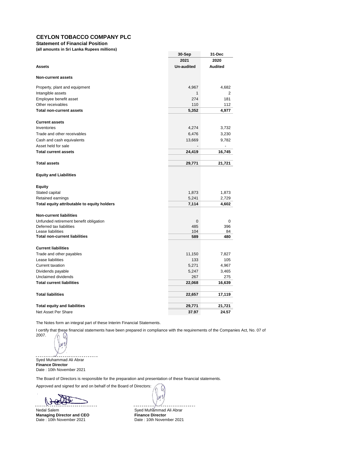**Statement of Financial Position**

**(all amounts in Sri Lanka Rupees millions)**

|                                             | 30-Sep            | 31-Dec         |
|---------------------------------------------|-------------------|----------------|
|                                             | 2021              | 2020           |
| <b>Assets</b>                               | <b>Un-audited</b> | <b>Audited</b> |
| <b>Non-current assets</b>                   |                   |                |
| Property, plant and equipment               | 4,967             | 4,682          |
| Intangible assets                           | $\mathbf{1}$      | 2              |
| Employee benefit asset                      | 274               | 181            |
| Other receivables                           | 110               | 112            |
| <b>Total non-current assets</b>             | 5,352             | 4,977          |
| <b>Current assets</b>                       |                   |                |
| Inventories                                 | 4,274             | 3,732          |
| Trade and other receivables                 | 6,476             | 3,230          |
| Cash and cash equivalents                   | 13,669            | 9,782          |
| Asset held for sale                         |                   | ä,             |
| <b>Total current assets</b>                 | 24,419            | 16,745         |
| <b>Total assets</b>                         | 29,771            | 21,721         |
| <b>Equity and Liabilities</b>               |                   |                |
| Equity                                      |                   |                |
| Stated capital                              | 1,873             | 1,873          |
| Retained earnings                           | 5,241             | 2,729          |
| Total equity attributable to equity holders | 7,114             | 4,602          |
| <b>Non-current liabilities</b>              |                   |                |
| Unfunded retirement benefit obligation      | 0                 | 0              |
| Deferred tax liabilities                    | 485               | 396            |
| Lease liabilities                           | 104               | 84             |
| <b>Total non-current liabilities</b>        | 589               | 480            |
| <b>Current liabilities</b>                  |                   |                |
| Trade and other payables                    | 11,150            | 7,827          |
| Lease liabilities                           | 133               | 105            |
| <b>Current taxation</b>                     | 5,271             | 4,967          |
| Dividends payable                           | 5,247             | 3,465          |
| Unclaimed dividends                         | 267               | 275            |
| <b>Total current liabilities</b>            | 22,068            | 16,639         |
| <b>Total liabilities</b>                    | 22,657            | 17,119         |
| <b>Total equity and liabilities</b>         | 29,771            | 21,721         |
| Net Asset Per Share                         | 37.97             | 24.57          |

The Notes form an integral part of these Interim Financial Statements.

I certify that these financial statements have been prepared in compliance with the requirements of the Companies Act, No. 07 of 2007.

W \u V

Syed Muhammad Ali Abrar **Finance Director** Date : 10th November 2021

The Board of Directors is responsible for the preparation and presentation of these financial statements.

Approved and signed for and on behalf of the Board of Directors:

(े√)

Nedal Salem Syed Muhammad Ali Abrar<br> **Managing Director and CEO** Syed Muhammad Ali Abrar<br> **Syed Muhammad Ali Abrary Managing Director and CEO**<br>Date: 10th November 2021

Date : 10th November 2021

U) ۱u۷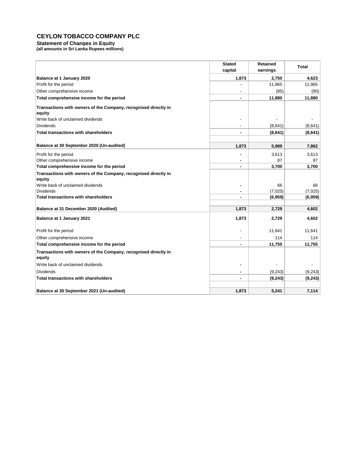**Statement of Changes in Equity** 

**(all amounts in Sri Lanka Rupees millions)**

|                                                                 | <b>Stated</b>  | <b>Retained</b> | <b>Total</b> |  |
|-----------------------------------------------------------------|----------------|-----------------|--------------|--|
|                                                                 | capital        | earnings        |              |  |
| Balance at 1 January 2020                                       | 1,873          | 2,750           | 4,623        |  |
| Profit for the period                                           |                | 11,965          | 11,965       |  |
| Other comprehensive income                                      |                | (85)            | (85)         |  |
| Total comprehensive income for the period                       | ۰              | 11,880          | 11,880       |  |
| Transactions with owners of the Company, recognised directly in |                |                 |              |  |
| equity                                                          |                |                 |              |  |
| Write back of unclaimed dividends                               |                |                 |              |  |
| <b>Dividends</b>                                                |                | (8,641)         | (8,641)      |  |
| <b>Total transactions with shareholders</b>                     | ۰              | (8,641)         | (8,641)      |  |
|                                                                 |                |                 |              |  |
| Balance at 30 September 2020 (Un-audited)                       | 1,873          | 5,989           | 7,862        |  |
| Profit for the period                                           |                | 3,613           | 3,613        |  |
| Other comprehensive income                                      | $\blacksquare$ | 87              | 87           |  |
| Total comprehensive income for the period                       |                | 3,700           | 3,700        |  |
| Transactions with owners of the Company, recognised directly in |                |                 |              |  |
| equity                                                          |                |                 |              |  |
| Write back of unclaimed dividends                               |                | 66              | 66           |  |
| <b>Dividends</b>                                                |                | (7,025)         | (7,025)      |  |
| <b>Total transactions with shareholders</b>                     | ٠              | (6,959)         | (6,959)      |  |
| Balance at 31 December 2020 (Audited)                           | 1,873          | 2,729           | 4,602        |  |
| Balance at 1 January 2021                                       | 1,873          | 2,729           | 4,602        |  |
|                                                                 |                |                 |              |  |
| Profit for the period                                           |                | 11,641          | 11,641       |  |
| Other comprehensive income                                      |                | 114             | 114          |  |
| Total comprehensive income for the period                       | ٠              | 11,755          | 11,755       |  |
| Transactions with owners of the Company, recognised directly in |                |                 |              |  |
| equity                                                          |                |                 |              |  |
| Write back of unclaimed dividends                               |                |                 |              |  |
| <b>Dividends</b>                                                | ۰              | (9, 243)        | (9, 243)     |  |
| <b>Total transactions with shareholders</b>                     | ٠              | (9, 243)        | (9, 243)     |  |
|                                                                 |                |                 |              |  |
| Balance at 30 September 2021 (Un-audited)                       | 1,873          | 5,241           | 7,114        |  |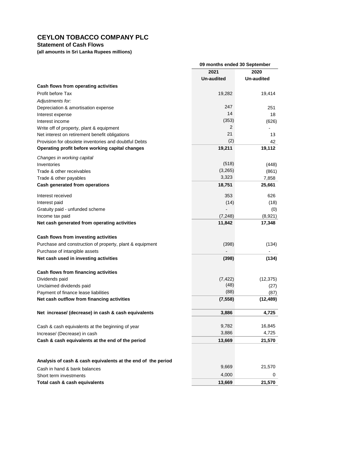# **Statement of Cash Flows**

**(all amounts in Sri Lanka Rupees millions)**

|                                                              | 09 months ended 30 September |            |
|--------------------------------------------------------------|------------------------------|------------|
|                                                              | 2021                         | 2020       |
|                                                              | Un-audited                   | Un-audited |
| Cash flows from operating activities                         |                              |            |
| Profit before Tax                                            | 19,282                       | 19,414     |
| Adjustments for:                                             |                              |            |
| Depreciation & amortisation expense                          | 247                          | 251        |
| Interest expense                                             | 14                           | 18         |
| Interest income                                              | (353)                        | (626)      |
| Write off of property, plant & equipment                     | 2                            |            |
| Net interest on retirement benefit obligations               | 21                           | 13         |
| Provision for obsolete inventories and doubtful Debts        | (2)                          | 42         |
| Operating profit before working capital changes              | 19,211                       | 19,112     |
| Changes in working capital                                   |                              |            |
| Inventories                                                  | (518)                        | (448)      |
| Trade & other receivables                                    | (3,265)                      | (861)      |
| Trade & other payables                                       | 3,323                        | 7,858      |
| Cash generated from operations                               | 18,751                       | 25,661     |
|                                                              |                              |            |
| Interest received                                            | 353                          | 626        |
| Interest paid                                                | (14)                         | (18)       |
| Gratuity paid - unfunded scheme                              |                              | (0)        |
| Income tax paid                                              | (7, 248)                     | (8,921)    |
| Net cash generated from operating activities                 | 11,842                       | 17,348     |
| Cash flows from investing activities                         |                              |            |
| Purchase and construction of property, plant & equipment     | (398)                        | (134)      |
| Purchase of intangible assets                                |                              |            |
| Net cash used in investing activities                        | (398)                        | (134)      |
|                                                              |                              |            |
| Cash flows from financing activities                         |                              |            |
| Dividends paid                                               | (7, 422)                     | (12, 375)  |
| Unclaimed dividends paid                                     | (48)                         | (27)       |
| Payment of finance lease liabilities                         | (88)                         | (87)       |
| Net cash outflow from financing activities                   | (7, 558)                     | (12, 489)  |
| Net increase/ (decrease) in cash & cash equivalents          |                              |            |
|                                                              | 3,886                        | 4,725      |
| Cash & cash equivalents at the beginning of year             | 9,782                        | 16,845     |
| Increase/ (Decrease) in cash                                 | 3,886                        | 4,725      |
| Cash & cash equivalents at the end of the period             | 13,669                       | 21,570     |
|                                                              |                              |            |
|                                                              |                              |            |
| Analysis of cash & cash equivalents at the end of the period |                              |            |
| Cash in hand & bank balances                                 | 9,669                        | 21,570     |
| Short term investments                                       | 4,000                        | 0          |
| Total cash & cash equivalents                                | 13,669                       | 21,570     |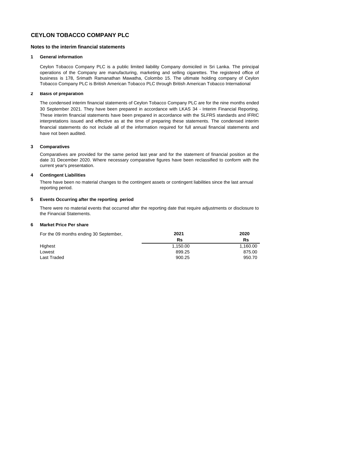#### **Notes to the interim financial statements**

#### **1 General information**

Ceylon Tobacco Company PLC is a public limited liability Company domiciled in Sri Lanka. The principal operations of the Company are manufacturing, marketing and selling cigarettes. The registered office of business is 178, Srimath Ramanathan Mawatha, Colombo 15. The ultimate holding company of Ceylon Tobacco Company PLC is British American Tobacco PLC through British American Tobacco International

#### **2 Basis of preparation**

The condensed interim financial statements of Ceylon Tobacco Company PLC are for the nine months ended 30 September 2021. They have been prepared in accordance with LKAS 34 - Interim Financial Reporting. These interim financial statements have been prepared in accordance with the SLFRS standards and IFRIC interpretations issued and effective as at the time of preparing these statements. The condensed interim financial statements do not include all of the information required for full annual financial statements and have not been audited.

#### **3 Comparatives**

Comparatives are provided for the same period last year and for the statement of financial position at the date 31 December 2020. Where necessary comparative figures have been reclassified to conform with the current year's presentation.

#### **4 Contingent Liabilities**

There have been no material changes to the contingent assets or contingent liabilities since the last annual reporting period.

### **5 Events Occurring after the reporting period**

There were no material events that occurred after the reporting date that require adjustments or disclosure to the Financial Statements.

#### **6 Market Price Per share**

| For the 09 months ending 30 September, | 2021     | 2020     |
|----------------------------------------|----------|----------|
|                                        | Rs       | Rs       |
| Highest                                | 1.150.00 | 1.160.00 |
| Lowest                                 | 899.25   | 875.00   |
| Last Traded                            | 900.25   | 950.70   |